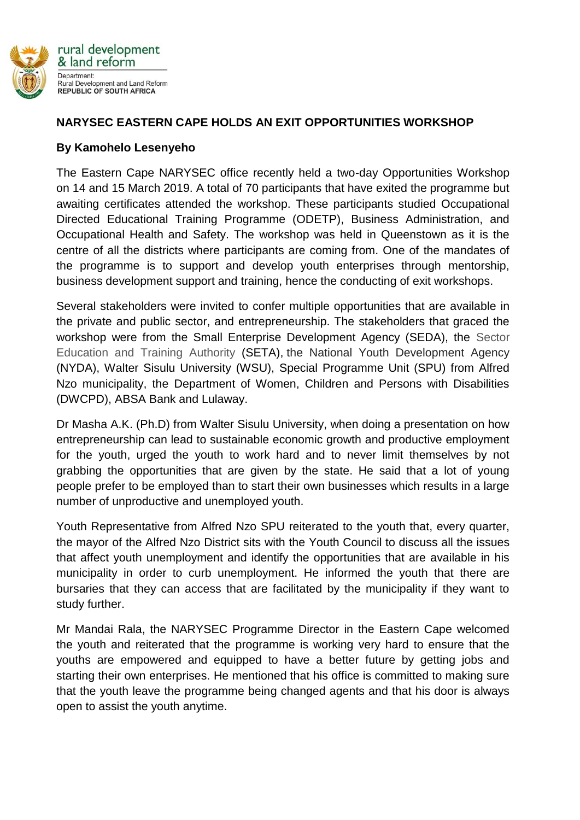

## **NARYSEC EASTERN CAPE HOLDS AN EXIT OPPORTUNITIES WORKSHOP**

## **By Kamohelo Lesenyeho**

The Eastern Cape NARYSEC office recently held a two-day Opportunities Workshop on 14 and 15 March 2019. A total of 70 participants that have exited the programme but awaiting certificates attended the workshop. These participants studied Occupational Directed Educational Training Programme (ODETP), Business Administration, and Occupational Health and Safety. The workshop was held in Queenstown as it is the centre of all the districts where participants are coming from. One of the mandates of the programme is to support and develop youth enterprises through mentorship, business development support and training, hence the conducting of exit workshops.

Several stakeholders were invited to confer multiple opportunities that are available in the private and public sector, and entrepreneurship. The stakeholders that graced the workshop were from the Small Enterprise Development Agency (SEDA), the Sector Education and Training Authority (SETA), the National Youth Development Agency (NYDA), Walter Sisulu University (WSU), Special Programme Unit (SPU) from Alfred Nzo municipality, the Department of Women, Children and Persons with Disabilities (DWCPD), ABSA Bank and Lulaway.

Dr Masha A.K. (Ph.D) from Walter Sisulu University, when doing a presentation on how entrepreneurship can lead to sustainable economic growth and productive employment for the youth, urged the youth to work hard and to never limit themselves by not grabbing the opportunities that are given by the state. He said that a lot of young people prefer to be employed than to start their own businesses which results in a large number of unproductive and unemployed youth.

Youth Representative from Alfred Nzo SPU reiterated to the youth that, every quarter, the mayor of the Alfred Nzo District sits with the Youth Council to discuss all the issues that affect youth unemployment and identify the opportunities that are available in his municipality in order to curb unemployment. He informed the youth that there are bursaries that they can access that are facilitated by the municipality if they want to study further.

Mr Mandai Rala, the NARYSEC Programme Director in the Eastern Cape welcomed the youth and reiterated that the programme is working very hard to ensure that the youths are empowered and equipped to have a better future by getting jobs and starting their own enterprises. He mentioned that his office is committed to making sure that the youth leave the programme being changed agents and that his door is always open to assist the youth anytime.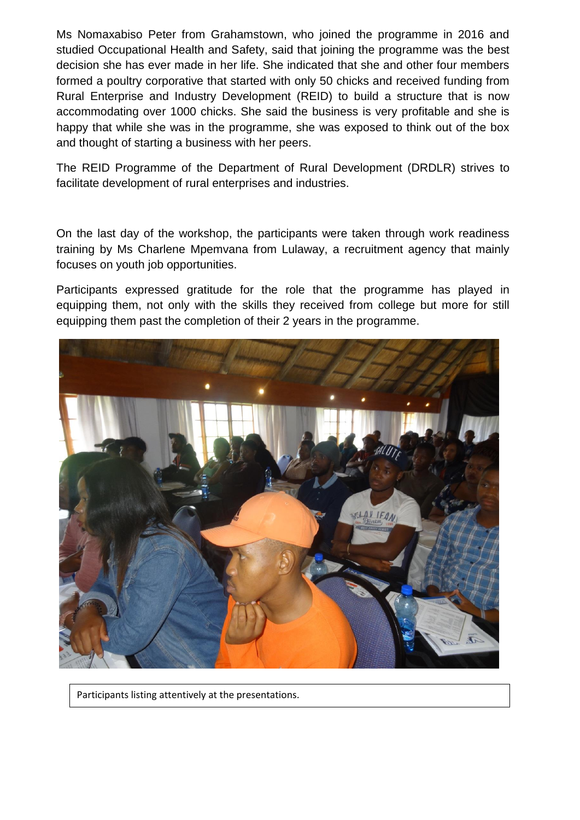Ms Nomaxabiso Peter from Grahamstown, who joined the programme in 2016 and studied Occupational Health and Safety, said that joining the programme was the best decision she has ever made in her life. She indicated that she and other four members formed a poultry corporative that started with only 50 chicks and received funding from Rural Enterprise and Industry Development (REID) to build a structure that is now accommodating over 1000 chicks. She said the business is very profitable and she is happy that while she was in the programme, she was exposed to think out of the box and thought of starting a business with her peers.

The REID Programme of the Department of Rural Development (DRDLR) strives to facilitate development of rural enterprises and industries.

On the last day of the workshop, the participants were taken through work readiness training by Ms Charlene Mpemvana from Lulaway, a recruitment agency that mainly focuses on youth job opportunities.

Participants expressed gratitude for the role that the programme has played in equipping them, not only with the skills they received from college but more for still equipping them past the completion of their 2 years in the programme.



Participants listing attentively at the presentations.